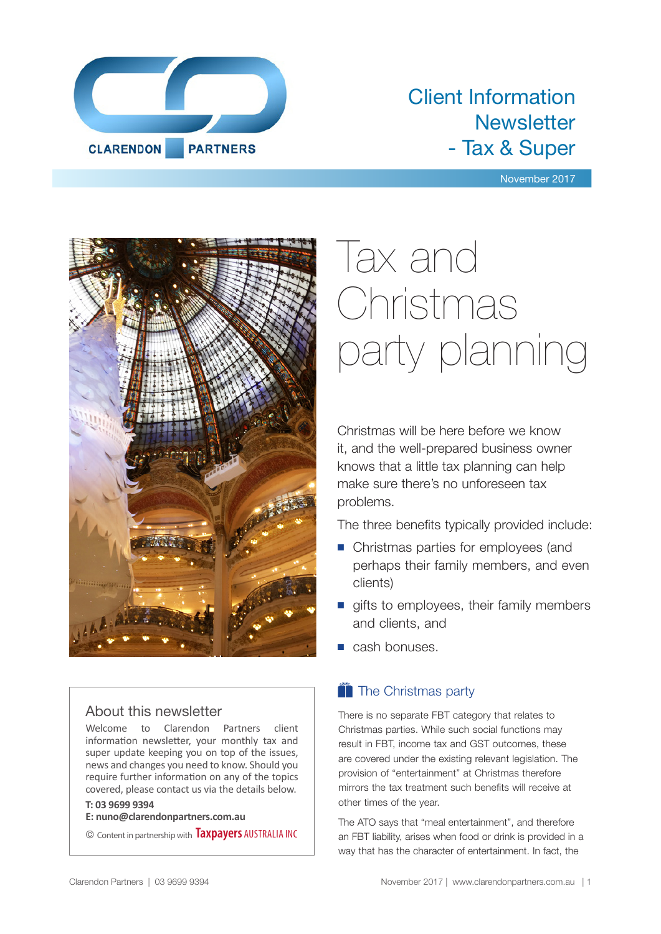

## Client Information **Newsletter** - Tax & Super

### November 2017



### About this newsletter

Welcome to Clarendon Partners client information newsletter, your monthly tax and super update keeping you on top of the issues, news and changes you need to know. Should you require further information on any of the topics covered, please contact us via the details below.

### **T: 03 9699 9394**

**E: nuno@clarendonpartners.com.au**

© Content in partnership with **Taxpayers** AUSTRALIA INC

# Tax and Christmas party planning

Christmas will be here before we know it, and the well-prepared business owner knows that a little tax planning can help make sure there's no unforeseen tax problems.

The three benefits typically provided include:

- Christmas parties for employees (and perhaps their family members, and even clients)
- $\blacksquare$  gifts to employees, their family members and clients, and
- $\blacksquare$  cash bonuses.

### $\bullet$  The Christmas party

There is no separate FBT category that relates to Christmas parties. While such social functions may result in FBT, income tax and GST outcomes, these are covered under the existing relevant legislation. The provision of "entertainment" at Christmas therefore mirrors the tax treatment such benefits will receive at other times of the year.

The ATO says that "meal entertainment", and therefore an FBT liability, arises when food or drink is provided in a way that has the character of entertainment. In fact, the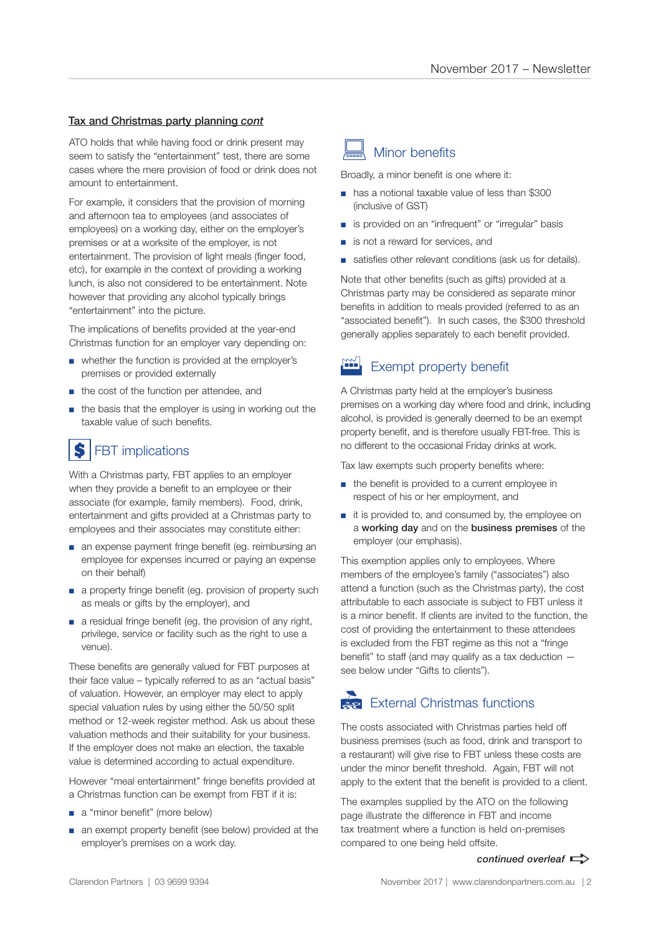### Tax and Christmas party planning *cont*

ATO holds that while having food or drink present may seem to satisfy the "entertainment" test, there are some cases where the mere provision of food or drink does not amount to entertainment.

For example, it considers that the provision of morning and afternoon tea to employees (and associates of employees) on a working day, either on the employer's premises or at a worksite of the employer, is not entertainment. The provision of light meals (finger food, etc), for example in the context of providing a working lunch, is also not considered to be entertainment. Note however that providing any alcohol typically brings "entertainment" into the picture.

The implications of benefits provided at the year-end Christmas function for an employer vary depending on:

- whether the function is provided at the employer's premises or provided externally
- the cost of the function per attendee, and
- the basis that the employer is using in working out the taxable value of such benefits.

### FBT implications \$

With a Christmas party, FBT applies to an employer when they provide a benefit to an employee or their associate (for example, family members). Food, drink, entertainment and gifts provided at a Christmas party to employees and their associates may constitute either:

- an expense payment fringe benefit (eg. reimbursing an employee for expenses incurred or paying an expense on their behalf)
- a property fringe benefit (eq. provision of property such as meals or gifts by the employer), and
- a residual fringe benefit (eg. the provision of any right, privilege, service or facility such as the right to use a venue).

These benefits are generally valued for FBT purposes at their face value – typically referred to as an "actual basis" of valuation. However, an employer may elect to apply special valuation rules by using either the 50/50 split method or 12-week register method. Ask us about these valuation methods and their suitability for your business. If the employer does not make an election, the taxable value is determined according to actual expenditure.

However "meal entertainment" fringe benefits provided at a Christmas function can be exempt from FBT if it is:

- a "minor benefit" (more below)
- an exempt property benefit (see below) provided at the employer's premises on a work day.

### Minor benefits

Broadly, a minor benefit is one where it:

- has a notional taxable value of less than \$300 (inclusive of GST)
- is provided on an "infrequent" or "irregular" basis
- is not a reward for services, and
- satisfies other relevant conditions (ask us for details).

Note that other benefits (such as gifts) provided at a Christmas party may be considered as separate minor benefits in addition to meals provided (referred to as an "associated benefit"). In such cases, the \$300 threshold generally applies separately to each benefit provided.

### Exempt property benefit

A Christmas party held at the employer's business premises on a working day where food and drink, including alcohol, is provided is generally deemed to be an exempt property benefit, and is therefore usually FBT-free. This is no different to the occasional Friday drinks at work.

Tax law exempts such property benefits where:

- the benefit is provided to a current employee in respect of his or her employment, and
- it is provided to, and consumed by, the employee on a working day and on the business premises of the employer (our emphasis).

This exemption applies only to employees. Where members of the employee's family ("associates") also attend a function (such as the Christmas party), the cost attributable to each associate is subject to FBT unless it is a minor benefit. If clients are invited to the function, the cost of providing the entertainment to these attendees is excluded from the FBT regime as this not a "fringe benefit" to staff (and may qualify as a tax deduction see below under "Gifts to clients").

### $\sum$  External Christmas functions

The costs associated with Christmas parties held off business premises (such as food, drink and transport to a restaurant) will give rise to FBT unless these costs are under the minor benefit threshold. Again, FBT will not apply to the extent that the benefit is provided to a client.

The examples supplied by the ATO on the following page illustrate the difference in FBT and income tax treatment where a function is held on-premises compared to one being held offsite.

### *continued overleaf*  $\Rightarrow$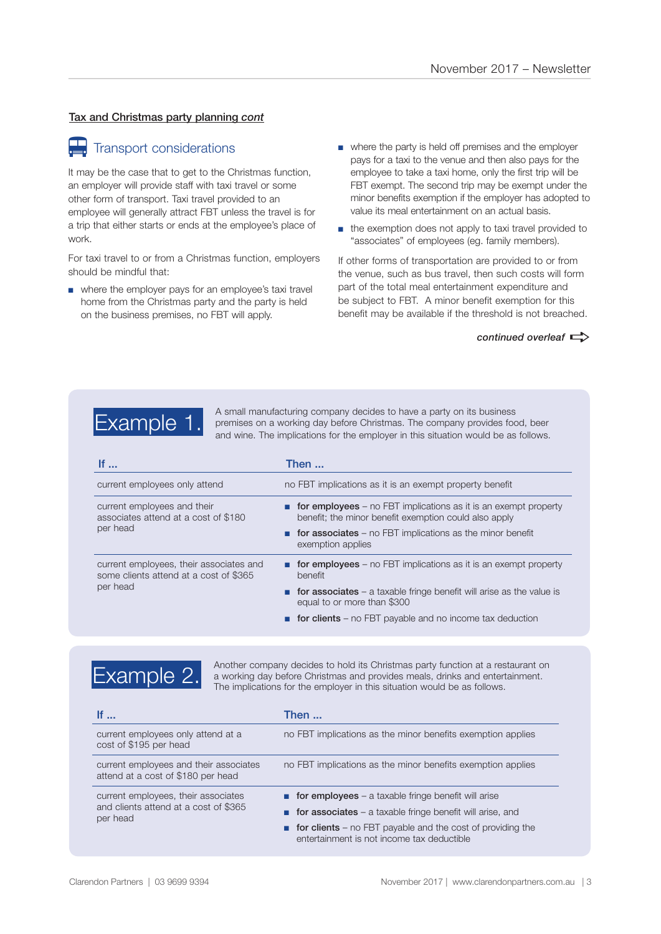### Tax and Christmas party planning *cont*

# **Transport considerations**

It may be the case that to get to the Christmas function, an employer will provide staff with taxi travel or some other form of transport. Taxi travel provided to an employee will generally attract FBT unless the travel is for a trip that either starts or ends at the employee's place of work.

For taxi travel to or from a Christmas function, employers should be mindful that:

- where the employer pays for an employee's taxi travel home from the Christmas party and the party is held on the business premises, no FBT will apply.
- where the party is held off premises and the employer pays for a taxi to the venue and then also pays for the employee to take a taxi home, only the first trip will be FBT exempt. The second trip may be exempt under the minor benefits exemption if the employer has adopted to value its meal entertainment on an actual basis.
- the exemption does not apply to taxi travel provided to "associates" of employees (eg. family members).

If other forms of transportation are provided to or from the venue, such as bus travel, then such costs will form part of the total meal entertainment expenditure and be subject to FBT. A minor benefit exemption for this benefit may be available if the threshold is not breached.

*continued overleaf*  $\Rightarrow$ 



Example 1. A small manufacturing company decides to have a party on its business<br>
premises on a working day before Christmas. The company provides food, beer<br>
premises on a working day before Christmas. The company provide and wine. The implications for the employer in this situation would be as follows.

| If $\ldots$                                                                                   | Then                                                                                                                            |
|-----------------------------------------------------------------------------------------------|---------------------------------------------------------------------------------------------------------------------------------|
| current employees only attend                                                                 | no FBT implications as it is an exempt property benefit                                                                         |
| current employees and their<br>associates attend at a cost of \$180<br>per head               | <b>for employees</b> – no FBT implications as it is an exempt property<br>benefit; the minor benefit exemption could also apply |
|                                                                                               | <b>n</b> for associates – no FBT implications as the minor benefit<br>exemption applies                                         |
| current employees, their associates and<br>some clients attend at a cost of \$365<br>per head | <b>for employees</b> – no FBT implications as it is an exempt property<br>benefit                                               |
|                                                                                               | <b>n</b> for associates – a taxable fringe benefit will arise as the value is<br>equal to or more than \$300                    |
|                                                                                               | <b>for clients</b> – no FBT payable and no income tax deduction                                                                 |



Another company decides to hold its Christmas party function at a restaurant on a working day before Christmas and provides meals, drinks and entertainment. The implications for the employer in this situation would be as follows.

| If $\ldots$                                                                              | Then                                                                                                       |
|------------------------------------------------------------------------------------------|------------------------------------------------------------------------------------------------------------|
| current employees only attend at a<br>cost of \$195 per head                             | no FBT implications as the minor benefits exemption applies                                                |
| current employees and their associates<br>attend at a cost of \$180 per head             | no FBT implications as the minor benefits exemption applies                                                |
| current employees, their associates<br>and clients attend at a cost of \$365<br>per head | <b>for employees</b> – a taxable fringe benefit will arise                                                 |
|                                                                                          | for associates $-$ a taxable fringe benefit will arise, and                                                |
|                                                                                          | for clients $-$ no FBT payable and the cost of providing the<br>entertainment is not income tax deductible |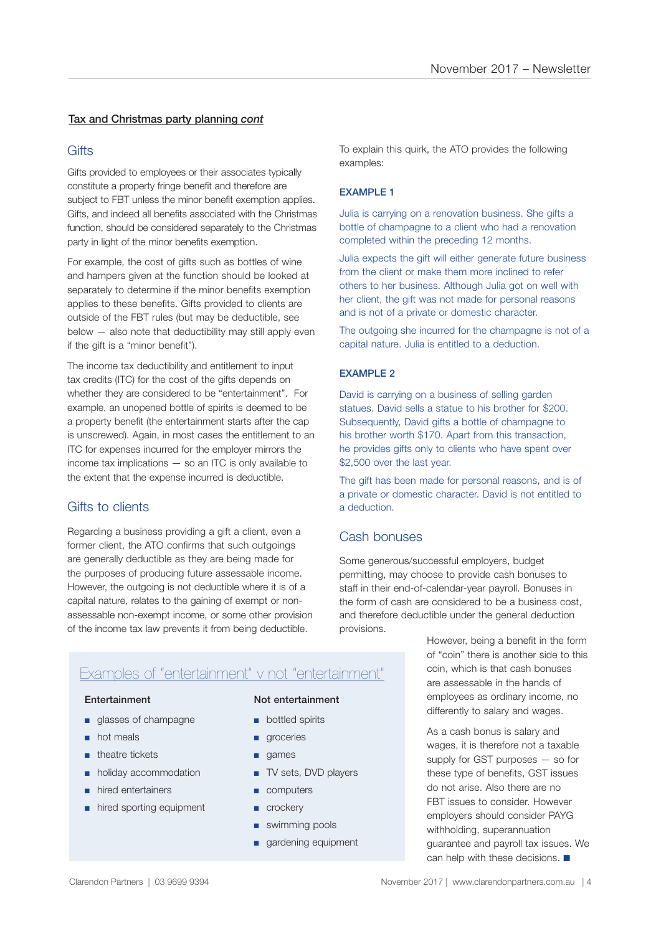### Tax and Christmas party planning *cont*

### **Gifts**

Gifts provided to employees or their associates typically constitute a property fringe benefit and therefore are subject to FBT unless the minor benefit exemption applies. Gifts, and indeed all benefits associated with the Christmas function, should be considered separately to the Christmas party in light of the minor benefits exemption.

For example, the cost of gifts such as bottles of wine and hampers given at the function should be looked at separately to determine if the minor benefits exemption applies to these benefits. Gifts provided to clients are outside of the FBT rules (but may be deductible, see below — also note that deductibility may still apply even if the gift is a "minor benefit").

The income tax deductibility and entitlement to input tax credits (ITC) for the cost of the gifts depends on whether they are considered to be "entertainment". For example, an unopened bottle of spirits is deemed to be a property benefit (the entertainment starts after the cap is unscrewed). Again, in most cases the entitlement to an ITC for expenses incurred for the employer mirrors the income tax implications — so an ITC is only available to the extent that the expense incurred is deductible.

### Gifts to clients

Regarding a business providing a gift a client, even a former client, the ATO confirms that such outgoings are generally deductible as they are being made for the purposes of producing future assessable income. However, the outgoing is not deductible where it is of a capital nature, relates to the gaining of exempt or nonassessable non-exempt income, or some other provision of the income tax law prevents it from being deductible.

To explain this quirk, the ATO provides the following examples:

### EXAMPLE 1

Julia is carrying on a renovation business. She gifts a bottle of champagne to a client who had a renovation completed within the preceding 12 months.

Julia expects the gift will either generate future business from the client or make them more inclined to refer others to her business. Although Julia got on well with her client, the gift was not made for personal reasons and is not of a private or domestic character.

The outgoing she incurred for the champagne is not of a capital nature. Julia is entitled to a deduction.

### EXAMPLE 2

David is carrying on a business of selling garden statues. David sells a statue to his brother for \$200. Subsequently. David gifts a bottle of champagne to his brother worth \$170. Apart from this transaction, he provides gifts only to clients who have spent over \$2,500 over the last year.

The gift has been made for personal reasons, and is of a private or domestic character. David is not entitled to a deduction.

### Cash bonuses

Some generous/successful employers, budget permitting, may choose to provide cash bonuses to staff in their end-of-calendar-year payroll. Bonuses in the form of cash are considered to be a business cost, and therefore deductible under the general deduction provisions.

### Examples of "entertainment" v not "entertainment"

- glasses of champagne
- hot meals
- theatre tickets
- holiday accommodation
- hired entertainers
- hired sporting equipment

### Entertainment Not entertainment

- bottled spirits
- groceries
- games
- TV sets, DVD players
- computers
- crockery
- swimming pools
- gardening equipment

However, being a benefit in the form of "coin" there is another side to this coin, which is that cash bonuses are assessable in the hands of employees as ordinary income, no differently to salary and wages.

As a cash bonus is salary and wages, it is therefore not a taxable supply for GST purposes — so for these type of benefits, GST issues do not arise. Also there are no FBT issues to consider. However employers should consider PAYG withholding, superannuation guarantee and payroll tax issues. We can help with these decisions.  $\blacksquare$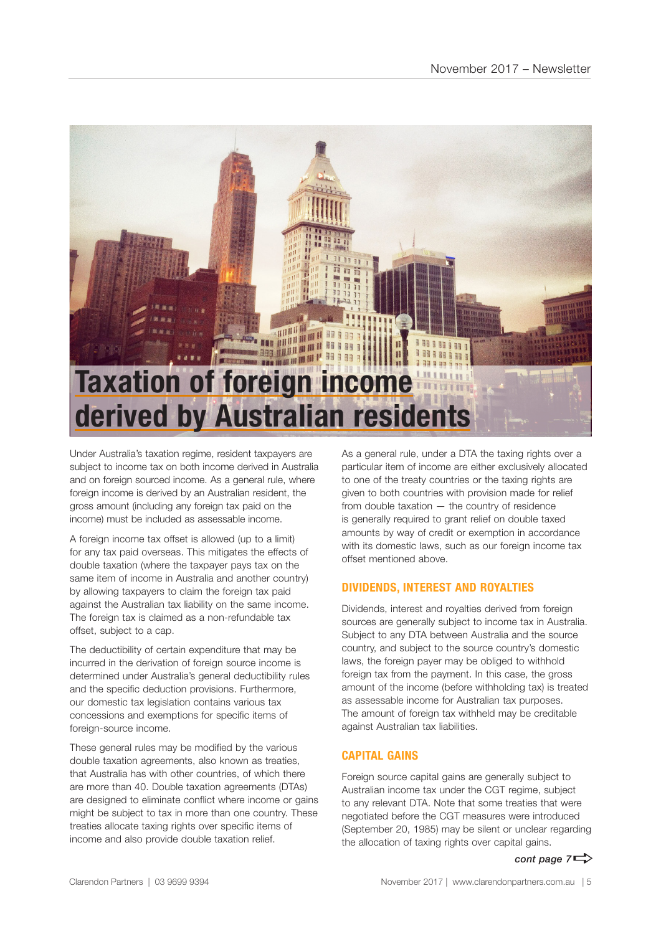

Under Australia's taxation regime, resident taxpayers are subject to income tax on both income derived in Australia and on foreign sourced income. As a general rule, where foreign income is derived by an Australian resident, the gross amount (including any foreign tax paid on the income) must be included as assessable income.

A foreign income tax offset is allowed (up to a limit) for any tax paid overseas. This mitigates the effects of double taxation (where the taxpayer pays tax on the same item of income in Australia and another country) by allowing taxpayers to claim the foreign tax paid against the Australian tax liability on the same income. The foreign tax is claimed as a non-refundable tax offset, subject to a cap.

The deductibility of certain expenditure that may be incurred in the derivation of foreign source income is determined under Australia's general deductibility rules and the specific deduction provisions. Furthermore, our domestic tax legislation contains various tax concessions and exemptions for specific items of foreign-source income.

These general rules may be modified by the various double taxation agreements, also known as treaties, that Australia has with other countries, of which there are more than 40. Double taxation agreements (DTAs) are designed to eliminate conflict where income or gains might be subject to tax in more than one country. These treaties allocate taxing rights over specific items of income and also provide double taxation relief.

As a general rule, under a DTA the taxing rights over a particular item of income are either exclusively allocated to one of the treaty countries or the taxing rights are given to both countries with provision made for relief from double taxation — the country of residence is generally required to grant relief on double taxed amounts by way of credit or exemption in accordance with its domestic laws, such as our foreign income tax offset mentioned above.

### **DIVIDENDS, INTEREST AND ROYALTIES**

Dividends, interest and royalties derived from foreign sources are generally subject to income tax in Australia. Subject to any DTA between Australia and the source country, and subject to the source country's domestic laws, the foreign payer may be obliged to withhold foreign tax from the payment. In this case, the gross amount of the income (before withholding tax) is treated as assessable income for Australian tax purposes. The amount of foreign tax withheld may be creditable against Australian tax liabilities.

### **CAPITAL GAINS**

Foreign source capital gains are generally subject to Australian income tax under the CGT regime, subject to any relevant DTA. Note that some treaties that were negotiated before the CGT measures were introduced (September 20, 1985) may be silent or unclear regarding the allocation of taxing rights over capital gains.

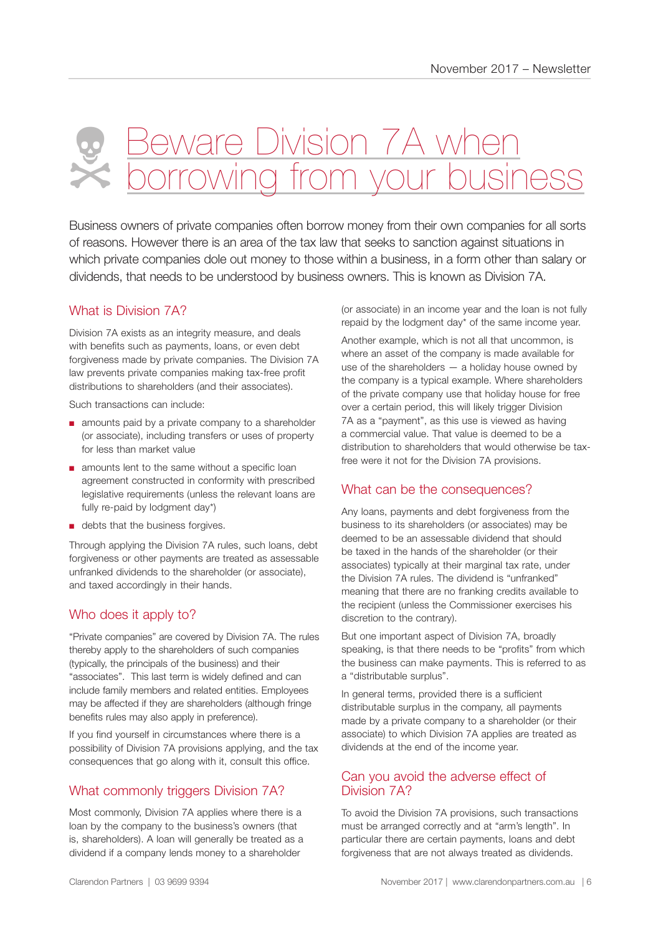# eware Division 7A w  $\overline{\wedge}$ Xeo

Business owners of private companies often borrow money from their own companies for all sorts of reasons. However there is an area of the tax law that seeks to sanction against situations in which private companies dole out money to those within a business, in a form other than salary or dividends, that needs to be understood by business owners. This is known as Division 7A.

### What is Division 7A?

Division 7A exists as an integrity measure, and deals with benefits such as payments, loans, or even debt forgiveness made by private companies. The Division 7A law prevents private companies making tax-free profit distributions to shareholders (and their associates).

Such transactions can include:

- amounts paid by a private company to a shareholder (or associate), including transfers or uses of property for less than market value
- amounts lent to the same without a specific loan agreement constructed in conformity with prescribed legislative requirements (unless the relevant loans are fully re-paid by lodgment day\*)
- debts that the business forgives.

Through applying the Division 7A rules, such loans, debt forgiveness or other payments are treated as assessable unfranked dividends to the shareholder (or associate), and taxed accordingly in their hands.

### Who does it apply to?

"Private companies" are covered by Division 7A. The rules thereby apply to the shareholders of such companies (typically, the principals of the business) and their "associates". This last term is widely defined and can include family members and related entities. Employees may be affected if they are shareholders (although fringe benefits rules may also apply in preference).

If you find yourself in circumstances where there is a possibility of Division 7A provisions applying, and the tax consequences that go along with it, consult this office.

### What commonly triggers Division 7A?

Most commonly, Division 7A applies where there is a loan by the company to the business's owners (that is, shareholders). A loan will generally be treated as a dividend if a company lends money to a shareholder

(or associate) in an income year and the loan is not fully repaid by the lodgment day\* of the same income year.

Another example, which is not all that uncommon, is where an asset of the company is made available for use of the shareholders — a holiday house owned by the company is a typical example. Where shareholders of the private company use that holiday house for free over a certain period, this will likely trigger Division 7A as a "payment", as this use is viewed as having a commercial value. That value is deemed to be a distribution to shareholders that would otherwise be taxfree were it not for the Division 7A provisions.

### What can be the consequences?

Any loans, payments and debt forgiveness from the business to its shareholders (or associates) may be deemed to be an assessable dividend that should be taxed in the hands of the shareholder (or their associates) typically at their marginal tax rate, under the Division 7A rules. The dividend is "unfranked" meaning that there are no franking credits available to the recipient (unless the Commissioner exercises his discretion to the contrary).

But one important aspect of Division 7A, broadly speaking, is that there needs to be "profits" from which the business can make payments. This is referred to as a "distributable surplus".

In general terms, provided there is a sufficient distributable surplus in the company, all payments made by a private company to a shareholder (or their associate) to which Division 7A applies are treated as dividends at the end of the income year.

### Can you avoid the adverse effect of Division 7A?

To avoid the Division 7A provisions, such transactions must be arranged correctly and at "arm's length". In particular there are certain payments, loans and debt forgiveness that are not always treated as dividends.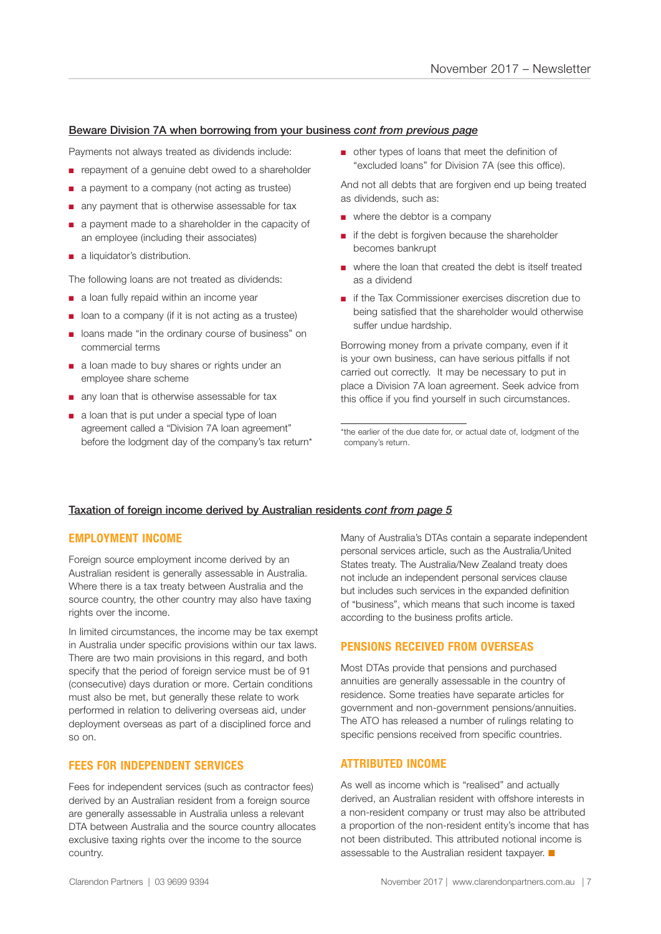### Beware Division 7A when borrowing from your business *cont from previous page*

Payments not always treated as dividends include:

- repayment of a genuine debt owed to a shareholder
- a payment to a company (not acting as trustee)
- any payment that is otherwise assessable for tax
- a payment made to a shareholder in the capacity of an employee (including their associates)
- a liquidator's distribution.

The following loans are not treated as dividends:

- a loan fully repaid within an income year
- loan to a company (if it is not acting as a trustee)
- loans made "in the ordinary course of business" on commercial terms
- a loan made to buy shares or rights under an employee share scheme
- any loan that is otherwise assessable for tax
- a loan that is put under a special type of loan agreement called a "Division 7A loan agreement" before the lodgment day of the company's tax return\*

■ other types of loans that meet the definition of "excluded loans" for Division 7A (see this office).

And not all debts that are forgiven end up being treated as dividends, such as:

- where the debtor is a company
- if the debt is forgiven because the shareholder becomes bankrupt
- where the loan that created the debt is itself treated as a dividend
- if the Tax Commissioner exercises discretion due to being satisfied that the shareholder would otherwise suffer undue hardship.

Borrowing money from a private company, even if it is your own business, can have serious pitfalls if not carried out correctly. It may be necessary to put in place a Division 7A loan agreement. Seek advice from this office if you find yourself in such circumstances.

\*the earlier of the due date for, or actual date of, lodgment of the company's return.

### Taxation of foreign income derived by Australian residents *cont from page 5*

### **EMPLOYMENT INCOME**

Foreign source employment income derived by an Australian resident is generally assessable in Australia. Where there is a tax treaty between Australia and the source country, the other country may also have taxing rights over the income.

In limited circumstances, the income may be tax exempt in Australia under specific provisions within our tax laws. There are two main provisions in this regard, and both specify that the period of foreign service must be of 91 (consecutive) days duration or more. Certain conditions must also be met, but generally these relate to work performed in relation to delivering overseas aid, under deployment overseas as part of a disciplined force and so on.

### **FEES FOR INDEPENDENT SERVICES**

Fees for independent services (such as contractor fees) derived by an Australian resident from a foreign source are generally assessable in Australia unless a relevant DTA between Australia and the source country allocates exclusive taxing rights over the income to the source country.

Many of Australia's DTAs contain a separate independent personal services article, such as the Australia/United States treaty. The Australia/New Zealand treaty does not include an independent personal services clause but includes such services in the expanded definition of "business", which means that such income is taxed according to the business profits article.

### **PENSIONS RECEIVED FROM OVERSEAS**

Most DTAs provide that pensions and purchased annuities are generally assessable in the country of residence. Some treaties have separate articles for government and non-government pensions/annuities. The ATO has released a number of rulings relating to specific pensions received from specific countries.

### **ATTRIBUTED INCOME**

As well as income which is "realised" and actually derived, an Australian resident with offshore interests in a non-resident company or trust may also be attributed a proportion of the non-resident entity's income that has not been distributed. This attributed notional income is assessable to the Australian resident taxpayer.  $\blacksquare$